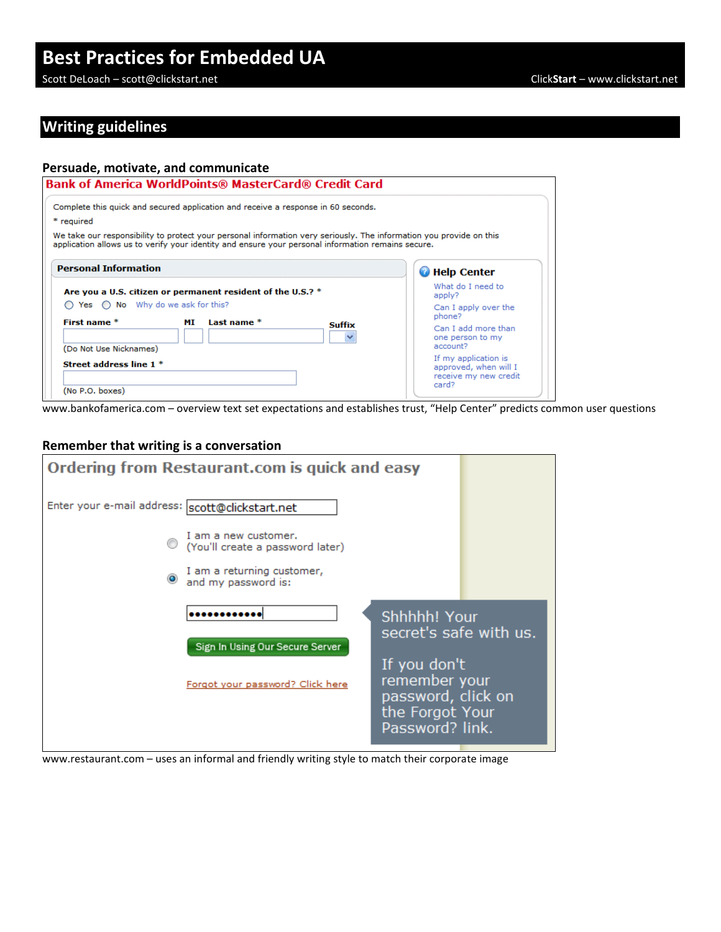# **Writing guidelines**

### **Persuade, motivate, and communicate**

| <b>Bank of America WorldPoints® MasterCard® Credit Card</b>                                                                                                                                                               |               |                                                                                 |
|---------------------------------------------------------------------------------------------------------------------------------------------------------------------------------------------------------------------------|---------------|---------------------------------------------------------------------------------|
| Complete this quick and secured application and receive a response in 60 seconds.                                                                                                                                         |               |                                                                                 |
| * required                                                                                                                                                                                                                |               |                                                                                 |
| We take our responsibility to protect your personal information very seriously. The information you provide on this<br>application allows us to verify your identity and ensure your personal information remains secure. |               |                                                                                 |
| <b>Personal Information</b>                                                                                                                                                                                               |               | <b>O</b> Help Center                                                            |
| Are you a U.S. citizen or permanent resident of the U.S.? *                                                                                                                                                               |               | What do I need to<br>apply?                                                     |
| Yes $\bigcap$ No Why do we ask for this?<br>Last name *<br>First name *<br>МI                                                                                                                                             |               | Can I apply over the<br>phone?                                                  |
| (Do Not Use Nicknames)                                                                                                                                                                                                    | <b>Suffix</b> | Can I add more than<br>one person to my<br>account?                             |
| Street address line 1 *                                                                                                                                                                                                   |               | If my application is<br>approved, when will I<br>receive my new credit<br>card? |
| (No P.O. boxes)                                                                                                                                                                                                           |               |                                                                                 |

www.bankofamerica.com – overview text set expectations and establishes trust, "Help Center" predicts common user questions

| <b>Ordering from Restaurant.com is quick and easy</b>                                                |                        |
|------------------------------------------------------------------------------------------------------|------------------------|
| Enter your e-mail address: scott@clickstart.net                                                      |                        |
| I am a new customer.<br>(You'll create a password later)                                             |                        |
| I am a returning customer,<br>$\bullet$<br>and my password is:                                       |                        |
| Shhhhh! Your                                                                                         | secret's safe with us. |
| Sign In Using Our Secure Server<br>If you don't<br>remember your<br>Forgot your password? Click here |                        |
| password, click on<br>the Forgot Your<br>Password? link.                                             |                        |
|                                                                                                      |                        |

#### **Remember that writing is a conversation**

www.restaurant.com – uses an informal and friendly writing style to match their corporate image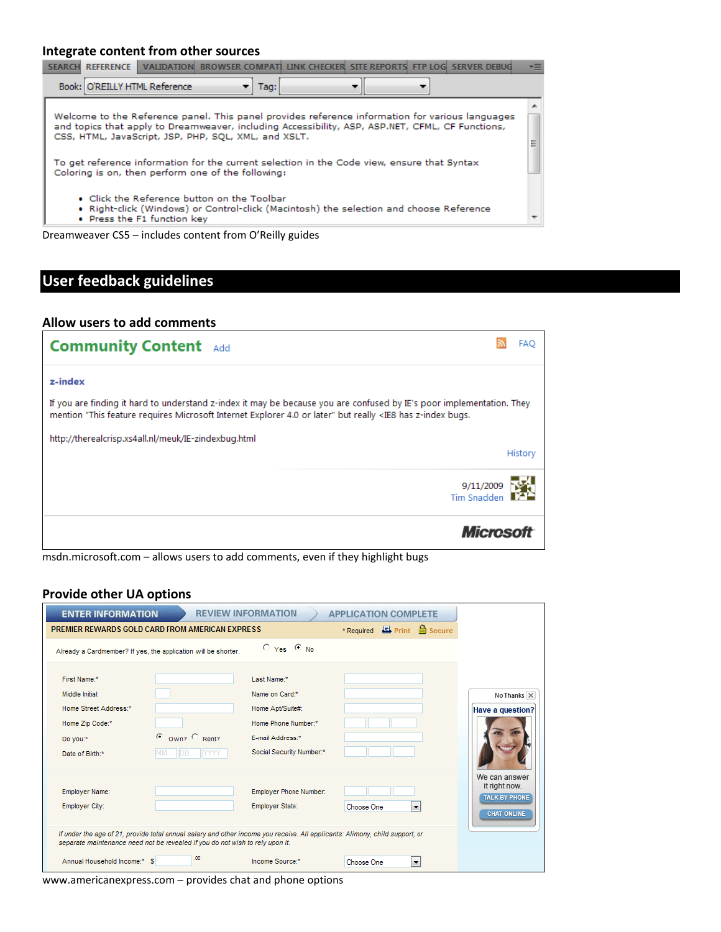#### **Integrate content from other sources**

| FTP LOG SERVER DEBUG<br><b>SEARCH</b><br><b>SITE REPORTS</b><br><b>REFERENCE</b>                                                                                                                                                                            | ▼≡ |
|-------------------------------------------------------------------------------------------------------------------------------------------------------------------------------------------------------------------------------------------------------------|----|
| Book: O'REILLY HTML Reference<br>Tag:                                                                                                                                                                                                                       |    |
| Welcome to the Reference panel. This panel provides reference information for various languages<br>and topics that apply to Dreamweaver, including Accessibility, ASP, ASP.NET, CFML, CF Functions,<br>CSS, HTML, JavaScript, JSP, PHP, SOL, XML, and XSLT. |    |
| To get reference information for the current selection in the Code view, ensure that Syntax<br>Coloring is on, then perform one of the following:                                                                                                           |    |
| • Click the Reference button on the Toolbar<br>• Right-click (Windows) or Control-click (Macintosh) the selection and choose Reference<br>. Press the F1 function key                                                                                       |    |

Dreamweaver CS5 – includes content from O'Reilly guides

# **User feedback guidelines**

#### **Allow users to add comments**

| <b>Community Content Add</b>                                                                                                                                                                                                                                        | FAO     |
|---------------------------------------------------------------------------------------------------------------------------------------------------------------------------------------------------------------------------------------------------------------------|---------|
| z-index                                                                                                                                                                                                                                                             |         |
| If you are finding it hard to understand z-index it may be because you are confused by IE's poor implementation. They<br>mention "This feature requires Microsoft Internet Explorer 4.0 or later" but really <ie8 bugs.<="" has="" th="" z-index=""><td></td></ie8> |         |
| http://therealcrisp.xs4all.nl/meuk/IE-zindexbug.html                                                                                                                                                                                                                |         |
|                                                                                                                                                                                                                                                                     | History |
| 9/11/2009<br><b>Tim Snadden</b>                                                                                                                                                                                                                                     |         |
| Microsoft                                                                                                                                                                                                                                                           |         |

msdn.microsoft.com – allows users to add comments, even if they highlight bugs

## **Provide other UA options**

| <b>ENTER INFORMATION</b>                                                                                                                                         |                                      | <b>REVIEW INFORMATION</b>                                                                                                | <b>APPLICATION COMPLETE</b> |                                       |                                                                              |
|------------------------------------------------------------------------------------------------------------------------------------------------------------------|--------------------------------------|--------------------------------------------------------------------------------------------------------------------------|-----------------------------|---------------------------------------|------------------------------------------------------------------------------|
| PREMIER REWARDS GOLD CARD FROM AMERICAN EXPRESS                                                                                                                  |                                      |                                                                                                                          |                             | * Required $\Box$ Print $\Box$ Secure |                                                                              |
| Already a Cardmember? If yes, the application will be shorter.                                                                                                   |                                      | $\circ$ Yes $\circ$ No                                                                                                   |                             |                                       |                                                                              |
| First Name:*<br>Middle Initial:<br>Home Street Address:*<br>Home Zip Code:*<br>Do you:*<br>Date of Birth <sup>+*</sup>                                           | $\degree$ Own? $\degree$ Rent?<br>MM | Last Name:*<br>Name on Card:*<br>Home Apt/Suite#:<br>Home Phone Number:*<br>E-mail Address:*<br>Social Security Number:* |                             |                                       | No Thanks X<br>Have a question?                                              |
| Employer Name:<br>Employer City:<br>If under the age of 21, provide total annual salary and other income you receive. All applicants: Alimony, child support, or |                                      | Employer Phone Number:<br><b>Employer State:</b>                                                                         | Choose One                  | $\overline{\phantom{a}}$              | We can answer<br>it right now.<br><b>TALK BY PHONE</b><br><b>CHAT ONLINE</b> |
| separate maintenance need not be revealed if you do not wish to rely upon it.<br>Annual Household Income:* \$                                                    | œ                                    | Income Source:*                                                                                                          | Choose One                  | ▼                                     |                                                                              |

www.americanexpress.com – provides chat and phone options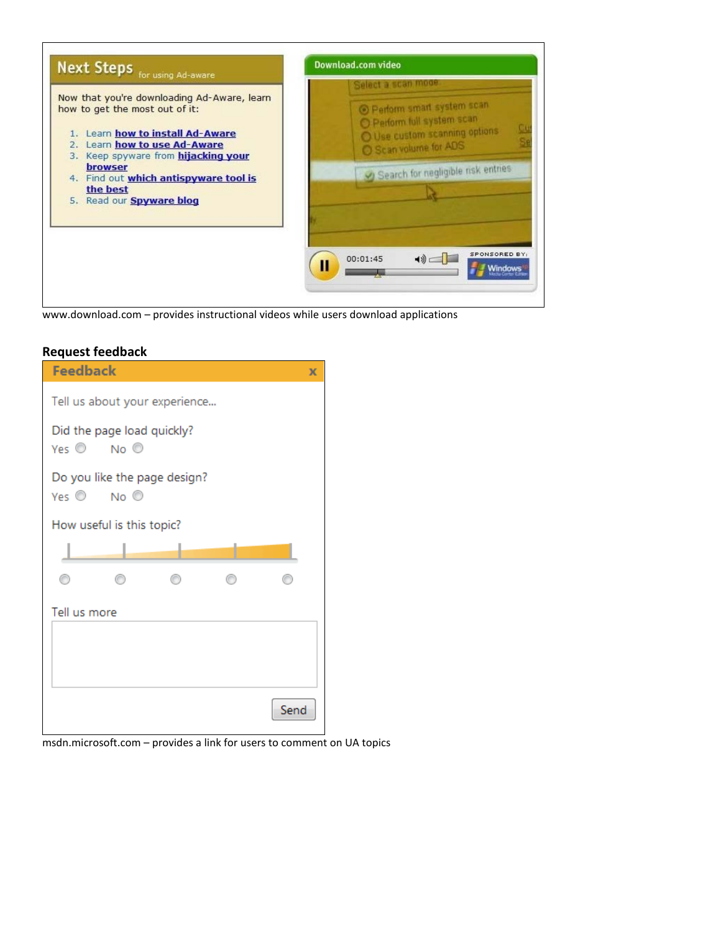

www.download.com – provides instructional videos while users download applications

### **Request feedback**

| <b>Feedback</b> |                                            |   | $\mathbf x$ |
|-----------------|--------------------------------------------|---|-------------|
|                 | Tell us about your experience              |   |             |
|                 | Did the page load quickly?<br>Yes C No C   |   |             |
|                 | Do you like the page design?<br>Yes C No C |   |             |
|                 | How useful is this topic?                  |   |             |
|                 |                                            |   |             |
| ⋒               |                                            | € |             |
| Tell us more    |                                            |   |             |
|                 |                                            |   |             |
|                 |                                            |   |             |
|                 |                                            |   | Send        |

msdn.microsoft.com – provides a link for users to comment on UA topics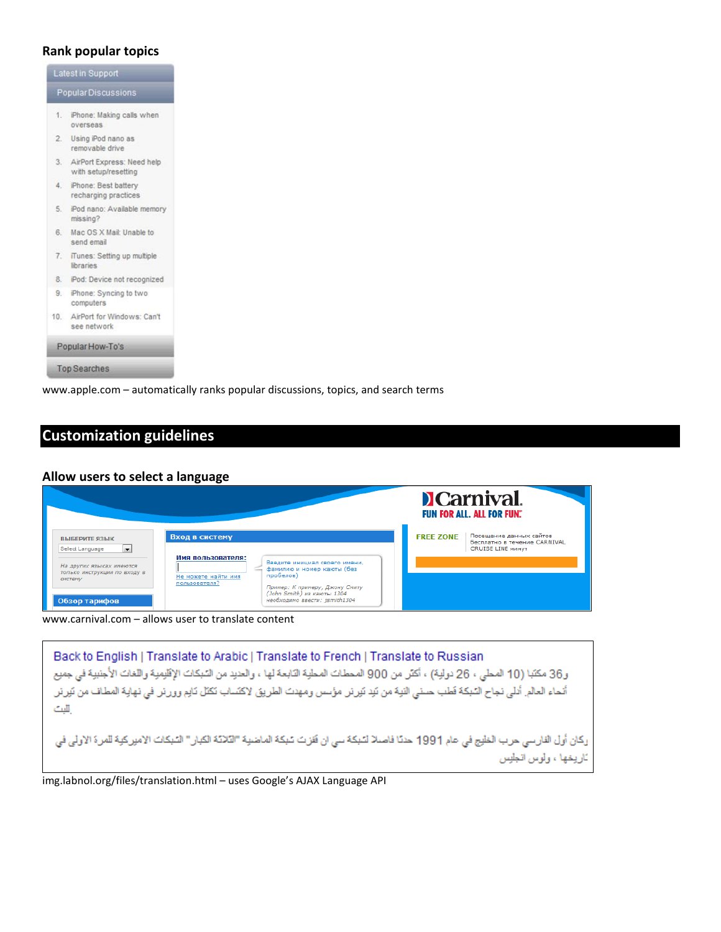## **Rank popular topics**

|       | Latest in Support                                  |  |  |
|-------|----------------------------------------------------|--|--|
|       | <b>Popular Discussions</b>                         |  |  |
| $1 -$ | iPhone: Making calls when<br>overseas              |  |  |
| 2.    | Using iPod nano as<br>removable drive              |  |  |
| 3.    | AirPort Express: Need help<br>with setup/resetting |  |  |
| 4.    | iPhone: Best battery<br>recharging practices       |  |  |
| 5.    | iPod nano: Available memory<br>missing?            |  |  |
| 6.    | Mac OS X Mail: Unable to<br>send email             |  |  |
| 7.    | iTunes: Setting up multiple<br>libraries           |  |  |
|       | 8. iPod: Device not recognized                     |  |  |
|       | 9. iPhone: Syncing to two<br>computers             |  |  |
|       | 10. AirPort for Windows: Can't<br>see network      |  |  |
|       | Popular How-To's                                   |  |  |
|       | <b>Top Searches</b>                                |  |  |

www.apple.com – automatically ranks popular discussions, topics, and search terms

# **Customization guidelines**

### **Allow users to select a language**

|                                                                                                                                      |                                                                                                                                                                                                                                                          |                  | <b>D</b> Carnival.<br><b>FUN FOR ALL. ALL FOR FUN."</b>                             |
|--------------------------------------------------------------------------------------------------------------------------------------|----------------------------------------------------------------------------------------------------------------------------------------------------------------------------------------------------------------------------------------------------------|------------------|-------------------------------------------------------------------------------------|
| ВЫБЕРИТЕ ЯЗЫК<br><b>F</b><br>Select Language<br>На других языках имеются<br>только инструкции по входу в<br>систему<br>Обзор тарифов | Вход в систему<br>Имя пользователя:<br>Введите инициал своего имени,<br>фамилию и номер каюты (без<br>пробелов)<br>Не можете найти имя<br>пользователя?<br>Пример: К примеру, Джону Смиту<br>(John Smith) из каюты 1304<br>необходимо ввести: ismith1304 | <b>FREE ZONE</b> | Посещение данных сайтов<br>бесплатно в течение CARNIVAL<br><b>CRUISE LINE MUHYT</b> |

www.carnival.com – allows user to translate content

Back to English | Translate to Arabic | Translate to French | Translate to Russian و36 مكتبا (10 المطي ، 26 دولية) ، أكثر من 900 المحطات المحلية التابعة لها ، والعديد من التبكات الإقليمية واللغات الأجنبية في جميع أنحاء العالم. أنلي نجاح التبكة قطب حمني النية من تيد تيرنر مؤسس ومهدت الطريق لاكتساب تكتل تايع وورنر في نهاية المطاف من تيرنر الأبث ركان أول الفارسي حرب الخليج في عام 1991 حدثًا فاصلا لسَّبكة سي ان فَقرت سَّبكة الماضية "الثَّلاثة الكبار" السّبكات الأمير كبة للمرة الأولى في ناريخها ، ولوس انجليس

img.labnol.org/files/translation.html – uses Google's AJAX Language API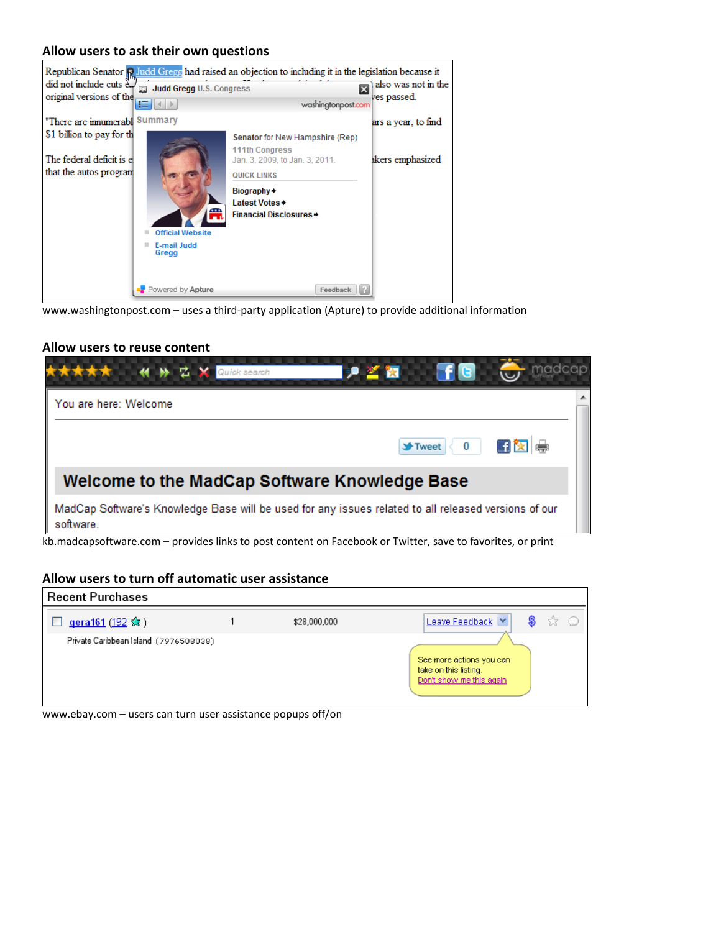### **Allow users to ask their own questions**



www.washingtonpost.com – uses a third-party application (Apture) to provide additional information

#### **Allow users to reuse content**

| madcan<br><b>N C X</b> Quick search                                                                               |
|-------------------------------------------------------------------------------------------------------------------|
| You are here: Welcome                                                                                             |
| 阳因量<br>0<br><b>W</b> Tweet                                                                                        |
| Welcome to the MadCap Software Knowledge Base                                                                     |
| MadCap Software's Knowledge Base will be used for any issues related to all released versions of our<br>software. |
| kb.madcapsoftware.com – provides links to post content on Facebook or Twitter, save to favorites, or print        |

# **Allow users to turn off automatic user assistance**

| <b>Recent Purchases</b>               |              |                                                                                |
|---------------------------------------|--------------|--------------------------------------------------------------------------------|
| <u>gera161</u> (192 छै)               | \$28,000,000 | Leave Feedback                                                                 |
| Private Caribbean Island (7976508038) |              | See more actions you can<br>take on this listing.<br>Don't show me this again. |

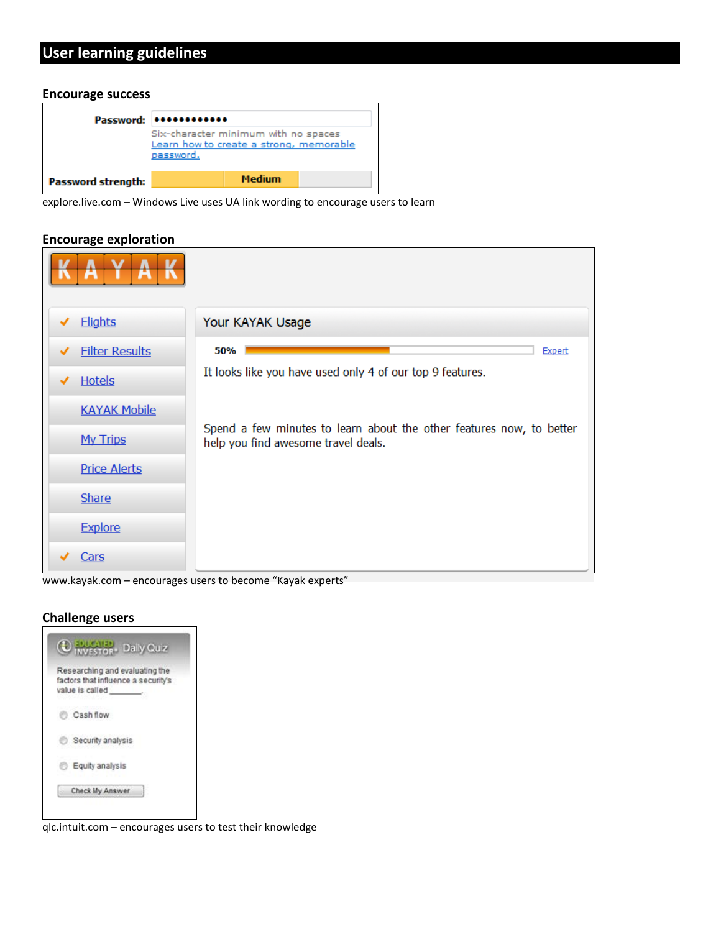# **User learning guidelines**

#### **Encourage success**

|                           | Password: 000000000000                                                                       |  |
|---------------------------|----------------------------------------------------------------------------------------------|--|
|                           | Six-character minimum with no spaces<br>Learn how to create a strong, memorable<br>password. |  |
| <b>Password strength:</b> | Medium                                                                                       |  |

explore.live.com – Windows Live uses UA link wording to encourage users to learn

#### **Encourage exploration**

| <b>Flights</b><br>✓   | Your KAYAK Usage                                                                                            |
|-----------------------|-------------------------------------------------------------------------------------------------------------|
| <b>Filter Results</b> | 50%<br>Expert                                                                                               |
| <b>Hotels</b><br>✓    | It looks like you have used only 4 of our top 9 features.                                                   |
| <b>KAYAK Mobile</b>   |                                                                                                             |
| <b>My Trips</b>       | Spend a few minutes to learn about the other features now, to better<br>help you find awesome travel deals. |
| <b>Price Alerts</b>   |                                                                                                             |
| <b>Share</b>          |                                                                                                             |
| <b>Explore</b>        |                                                                                                             |
| Cars                  |                                                                                                             |

www.kayak.com – encourages users to become "Kayak experts"

#### **Challenge users**



qlc.intuit.com – encourages users to test their knowledge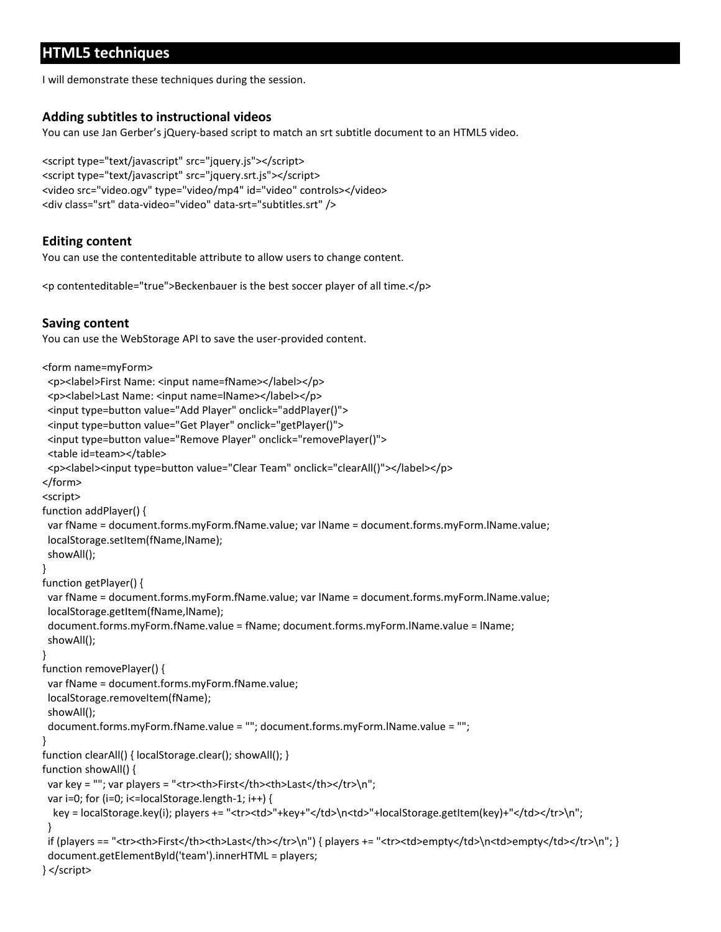# **HTML5 techniques**

I will demonstrate these techniques during the session.

### **Adding subtitles to instructional videos**

You can use Jan Gerber's jQuery-based script to match an srt subtitle document to an HTML5 video.

```
<script type="text/javascript" src="jquery.js"></script>
<script type="text/javascript" src="jquery.srt.js"></script>
<video src="video.ogv" type="video/mp4" id="video" controls></video>
<div class="srt" data-video="video" data-srt="subtitles.srt" />
```
## **Editing content**

You can use the contenteditable attribute to allow users to change content.

<p contenteditable="true">Beckenbauer is the best soccer player of all time.</p>

### **Saving content**

You can use the WebStorage API to save the user-provided content.

```
<form name=myForm>
  <p><label>First Name: <input name=fName></label></p>
  <p><label>Last Name: <input name=lName></label></p>
  <input type=button value="Add Player" onclick="addPlayer()">
  <input type=button value="Get Player" onclick="getPlayer()">
  <input type=button value="Remove Player" onclick="removePlayer()">
  <table id=team></table>
  <p><label><input type=button value="Clear Team" onclick="clearAll()"></label></p>
</form> 
<script>
function addPlayer() {
 var fName = document.forms.myForm.fName.value; var lName = document.forms.myForm.lName.value;
  localStorage.setItem(fName,lName);
 showAll();
}
function getPlayer() {
 var fName = document.forms.myForm.fName.value; var lName = document.forms.myForm.lName.value;
  localStorage.getItem(fName,lName);
  document.forms.myForm.fName.value = fName; document.forms.myForm.lName.value = lName;
  showAll();
}
function removePlayer() {
  var fName = document.forms.myForm.fName.value;
  localStorage.removeItem(fName);
  showAll();
  document.forms.myForm.fName.value = ""; document.forms.myForm.lName.value = "";
}
function clearAll() { localStorage.clear(); showAll(); }
function showAll() {
var key = ""; var players = "<tr><th>First</th><th>Last</th></th></tr>\n";
 var i=0; for (i=0; i<=localStorage.length-1; i++) {
  key = localStorage.key(i); players += "<tr><td>"+key+"</td>\n<td>"+localStorage.getItem(key)+"</td></tr>\n";
  }
 if (players == "<tr><th>First</th><th>Last</th></tr>\n") { players += "<tr><td>empty</td>\n<td>empty</td></tr>\n"; }
  document.getElementById('team').innerHTML = players;
```
} </script>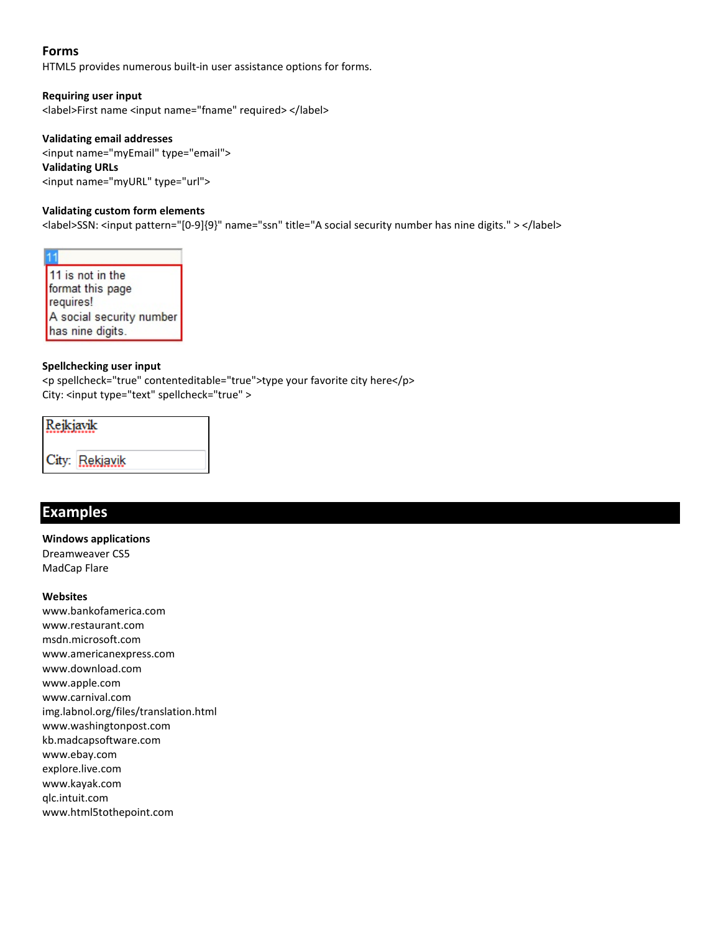### **Forms**

HTML5 provides numerous built-in user assistance options for forms.

#### **Requiring user input**

<label>First name <input name="fname" required> </label>

#### **Validating email addresses**

<input name="myEmail" type="email"> **Validating URLs** <input name="myURL" type="url">

#### **Validating custom form elements**

<label>SSN: <input pattern="[0-9]{9}" name="ssn" title="A social security number has nine digits." > </label>

11 11 is not in the format this page requires! A social security number has nine digits.

#### **Spellchecking user input**

<p spellcheck="true" contenteditable="true">type your favorite city here</p> City: <input type="text" spellcheck="true" >

| Rejkjavik |                |  |
|-----------|----------------|--|
|           | City: Rekjavik |  |

## **Examples**

**Windows applications** Dreamweaver CS5 MadCap Flare

#### **Websites**

www.bankofamerica.com www.restaurant.com msdn.microsoft.com www.americanexpress.com www.download.com www.apple.com www.carnival.com img.labnol.org/files/translation.html www.washingtonpost.com kb.madcapsoftware.com www.ebay.com explore.live.com www.kayak.com qlc.intuit.com www.html5tothepoint.com